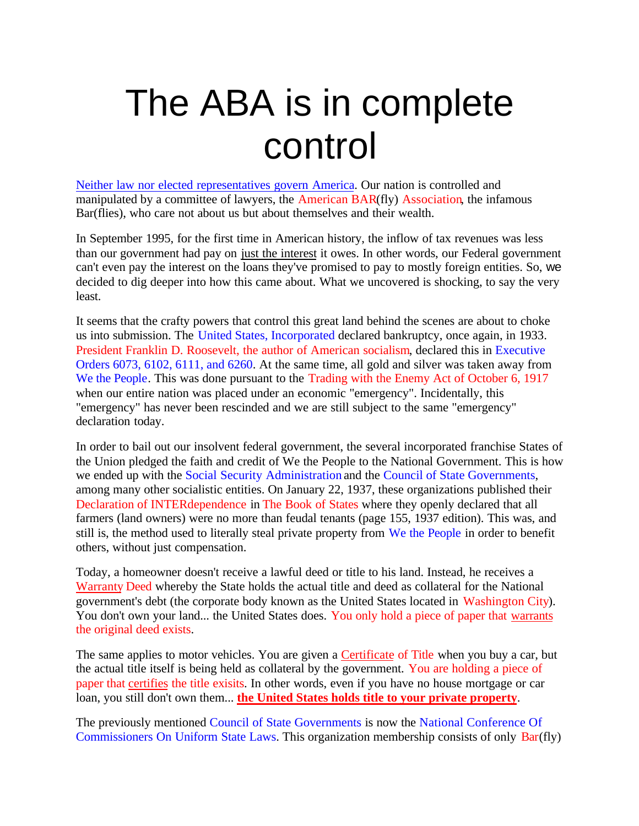## The ABA is in complete control

Neither law nor elected representatives govern America. Our nation is controlled and manipulated by a committee of lawyers, the American BAR(fly) Association, the infamous Bar(flies), who care not about us but about themselves and their wealth.

In September 1995, for the first time in American history, the inflow of tax revenues was less than our government had pay on just the interest it owes. In other words, our Federal government can't even pay the interest on the loans they've promised to pay to mostly foreign entities. So, we decided to dig deeper into how this came about. What we uncovered is shocking, to say the very least.

It seems that the crafty powers that control this great land behind the scenes are about to choke us into submission. The United States, Incorporated declared bankruptcy, once again, in 1933. President Franklin D. Roosevelt, the author of American socialism, declared this in Executive Orders 6073, 6102, 6111, and 6260. At the same time, all gold and silver was taken away from We the People. This was done pursuant to the Trading with the Enemy Act of October 6, 1917 when our entire nation was placed under an economic "emergency". Incidentally, this "emergency" has never been rescinded and we are still subject to the same "emergency" declaration today.

In order to bail out our insolvent federal government, the several incorporated franchise States of the Union pledged the faith and credit of We the People to the National Government. This is how we ended up with the Social Security Administration and the Council of State Governments, among many other socialistic entities. On January 22, 1937, these organizations published their Declaration of INTERdependence in The Book of States where they openly declared that all farmers (land owners) were no more than feudal tenants (page 155, 1937 edition). This was, and still is, the method used to literally steal private property from We the People in order to benefit others, without just compensation.

Today, a homeowner doesn't receive a lawful deed or title to his land. Instead, he receives a Warranty Deed whereby the State holds the actual title and deed as collateral for the National government's debt (the corporate body known as the United States located in Washington City). You don't own your land... the United States does. You only hold a piece of paper that warrants the original deed exists.

The same applies to motor vehicles. You are given a Certificate of Title when you buy a car, but the actual title itself is being held as collateral by the government. You are holding a piece of paper that certifies the title exisits. In other words, even if you have no house mortgage or car loan, you still don't own them... **the United States holds title to your private property**.

The previously mentioned Council of State Governments is now the National Conference Of Commissioners On Uniform State Laws. This organization membership consists of only Bar(fly)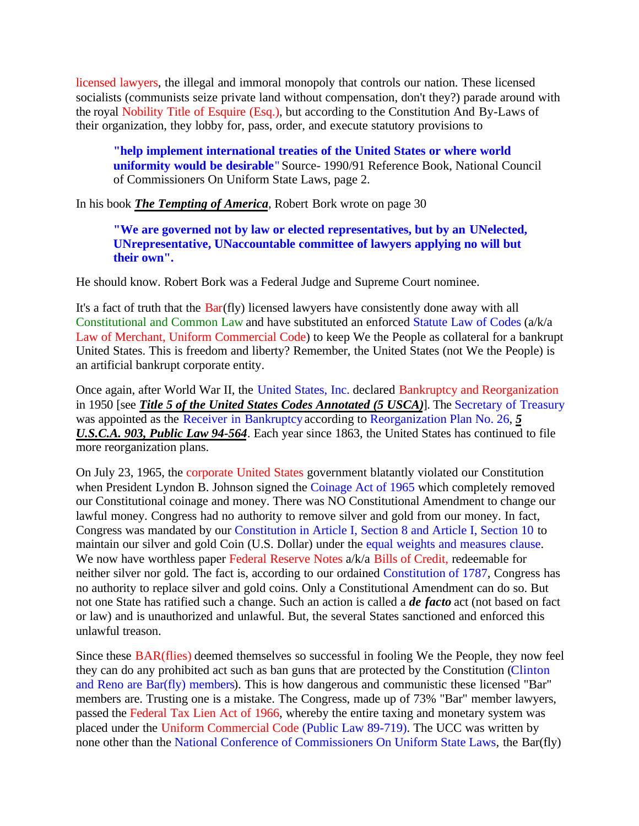licensed lawyers, the illegal and immoral monopoly that controls our nation. These licensed socialists (communists seize private land without compensation, don't they?) parade around with the royal Nobility Title of Esquire (Esq.), but according to the Constitution And By-Laws of their organization, they lobby for, pass, order, and execute statutory provisions to

**"help implement international treaties of the United States or where world uniformity would be desirable**" Source- 1990/91 Reference Book, National Council of Commissioners On Uniform State Laws, page 2.

In his book *The Tempting of America*, Robert Bork wrote on page 30

**"We are governed not by law or elected representatives, but by an UNelected, UNrepresentative, UNaccountable committee of lawyers applying no will but their own".**

He should know. Robert Bork was a Federal Judge and Supreme Court nominee.

It's a fact of truth that the Bar(fly) licensed lawyers have consistently done away with all Constitutional and Common Law and have substituted an enforced Statute Law of Codes (a/k/a Law of Merchant, Uniform Commercial Code) to keep We the People as collateral for a bankrupt United States. This is freedom and liberty? Remember, the United States (not We the People) is an artificial bankrupt corporate entity.

Once again, after World War II, the United States, Inc. declared Bankruptcy and Reorganization in 1950 [see *Title 5 of the United States Codes Annotated (5 USCA)*]. The Secretary of Treasury was appointed as the Receiver in Bankruptcy according to Reorganization Plan No. 26, *5 U.S.C.A. 903, Public Law 94-564*. Each year since 1863, the United States has continued to file more reorganization plans.

On July 23, 1965, the corporate United States government blatantly violated our Constitution when President Lyndon B. Johnson signed the Coinage Act of 1965 which completely removed our Constitutional coinage and money. There was NO Constitutional Amendment to change our lawful money. Congress had no authority to remove silver and gold from our money. In fact, Congress was mandated by our Constitution in Article I, Section 8 and Article I, Section 10 to maintain our silver and gold Coin (U.S. Dollar) under the equal weights and measures clause. We now have worthless paper Federal Reserve Notes a/k/a Bills of Credit, redeemable for neither silver nor gold. The fact is, according to our ordained Constitution of 1787, Congress has no authority to replace silver and gold coins. Only a Constitutional Amendment can do so. But not one State has ratified such a change. Such an action is called a *de facto* act (not based on fact or law) and is unauthorized and unlawful. But, the several States sanctioned and enforced this unlawful treason.

Since these BAR(flies) deemed themselves so successful in fooling We the People, they now feel they can do any prohibited act such as ban guns that are protected by the Constitution (Clinton and Reno are Bar(fly) members). This is how dangerous and communistic these licensed "Bar" members are. Trusting one is a mistake. The Congress, made up of 73% "Bar" member lawyers, passed the Federal Tax Lien Act of 1966, whereby the entire taxing and monetary system was placed under the Uniform Commercial Code (Public Law 89-719). The UCC was written by none other than the National Conference of Commissioners On Uniform State Laws, the Bar(fly)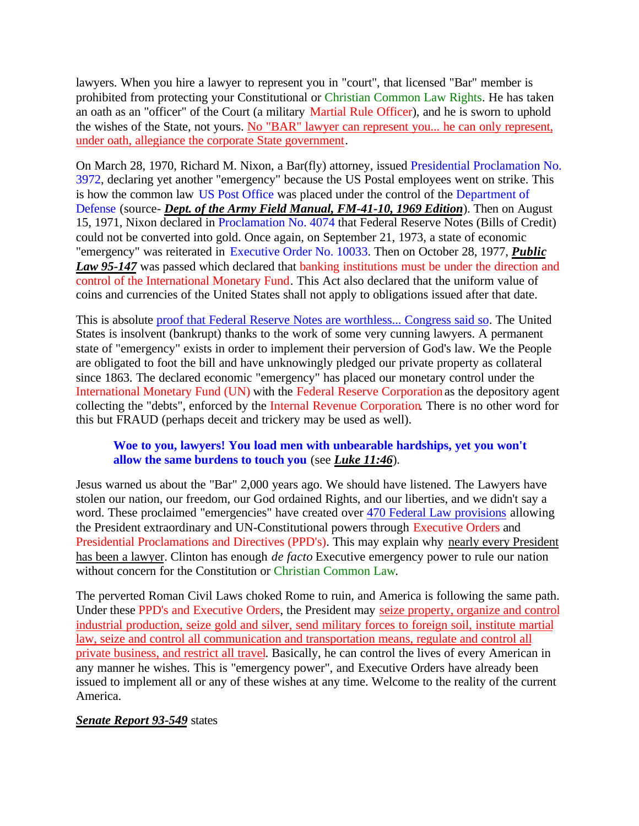lawyers. When you hire a lawyer to represent you in "court", that licensed "Bar" member is prohibited from protecting your Constitutional or Christian Common Law Rights. He has taken an oath as an "officer" of the Court (a military Martial Rule Officer), and he is sworn to uphold the wishes of the State, not yours. No "BAR" lawyer can represent you... he can only represent, under oath, allegiance the corporate State government.

On March 28, 1970, Richard M. Nixon, a Bar(fly) attorney, issued Presidential Proclamation No. 3972, declaring yet another "emergency" because the US Postal employees went on strike. This is how the common law US Post Office was placed under the control of the Department of Defense (source- *Dept. of the Army Field Manual, FM-41-10, 1969 Edition*). Then on August 15, 1971, Nixon declared in Proclamation No. 4074 that Federal Reserve Notes (Bills of Credit) could not be converted into gold. Once again, on September 21, 1973, a state of economic "emergency" was reiterated in Executive Order No. 10033. Then on October 28, 1977, *Public* Law 95-147 was passed which declared that banking institutions must be under the direction and control of the International Monetary Fund. This Act also declared that the uniform value of coins and currencies of the United States shall not apply to obligations issued after that date.

This is absolute proof that Federal Reserve Notes are worthless... Congress said so. The United States is insolvent (bankrupt) thanks to the work of some very cunning lawyers. A permanent state of "emergency" exists in order to implement their perversion of God's law. We the People are obligated to foot the bill and have unknowingly pledged our private property as collateral since 1863. The declared economic "emergency" has placed our monetary control under the International Monetary Fund (UN) with the Federal Reserve Corporation as the depository agent collecting the "debts", enforced by the Internal Revenue Corporation. There is no other word for this but FRAUD (perhaps deceit and trickery may be used as well).

## **Woe to you, lawyers! You load men with unbearable hardships, yet you won't allow the same burdens to touch you** (see *Luke 11:46*).

Jesus warned us about the "Bar" 2,000 years ago. We should have listened. The Lawyers have stolen our nation, our freedom, our God ordained Rights, and our liberties, and we didn't say a word. These proclaimed "emergencies" have created over 470 Federal Law provisions allowing the President extraordinary and UN-Constitutional powers through Executive Orders and Presidential Proclamations and Directives (PPD's). This may explain why nearly every President has been a lawyer. Clinton has enough *de facto* Executive emergency power to rule our nation without concern for the Constitution or Christian Common Law.

The perverted Roman Civil Laws choked Rome to ruin, and America is following the same path. Under these PPD's and Executive Orders, the President may seize property, organize and control industrial production, seize gold and silver, send military forces to foreign soil, institute martial law, seize and control all communication and transportation means, regulate and control all private business, and restrict all travel. Basically, he can control the lives of every American in any manner he wishes. This is "emergency power", and Executive Orders have already been issued to implement all or any of these wishes at any time. Welcome to the reality of the current America.

## *Senate Report 93-549* states